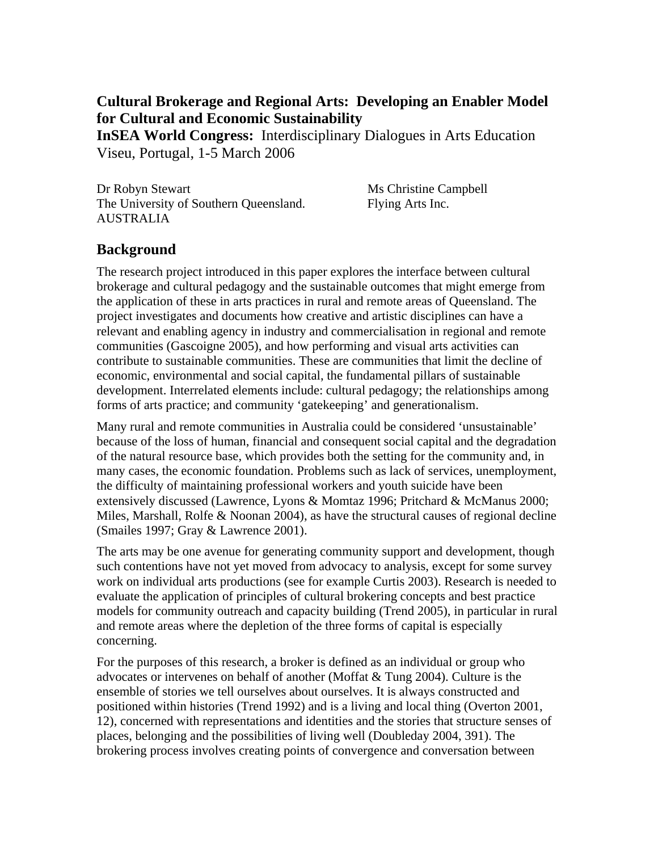## **Cultural Brokerage and Regional Arts: Developing an Enabler Model for Cultural and Economic Sustainability**

**InSEA World Congress:** Interdisciplinary Dialogues in Arts Education Viseu, Portugal, 1-5 March 2006

Dr Robyn Stewart Ms Christine Campbell The University of Southern Queensland. Flying Arts Inc. AUSTRALIA

## **Background**

The research project introduced in this paper explores the interface between cultural brokerage and cultural pedagogy and the sustainable outcomes that might emerge from the application of these in arts practices in rural and remote areas of Queensland. The project investigates and documents how creative and artistic disciplines can have a relevant and enabling agency in industry and commercialisation in regional and remote communities (Gascoigne 2005), and how performing and visual arts activities can contribute to sustainable communities. These are communities that limit the decline of economic, environmental and social capital, the fundamental pillars of sustainable development. Interrelated elements include: cultural pedagogy; the relationships among forms of arts practice; and community 'gatekeeping' and generationalism.

Many rural and remote communities in Australia could be considered 'unsustainable' because of the loss of human, financial and consequent social capital and the degradation of the natural resource base, which provides both the setting for the community and, in many cases, the economic foundation. Problems such as lack of services, unemployment, the difficulty of maintaining professional workers and youth suicide have been extensively discussed (Lawrence, Lyons & Momtaz 1996; Pritchard & McManus 2000; Miles, Marshall, Rolfe & Noonan 2004), as have the structural causes of regional decline (Smailes 1997; Gray & Lawrence 2001).

The arts may be one avenue for generating community support and development, though such contentions have not yet moved from advocacy to analysis, except for some survey work on individual arts productions (see for example Curtis 2003). Research is needed to evaluate the application of principles of cultural brokering concepts and best practice models for community outreach and capacity building (Trend 2005), in particular in rural and remote areas where the depletion of the three forms of capital is especially concerning.

For the purposes of this research, a broker is defined as an individual or group who advocates or intervenes on behalf of another (Moffat & Tung 2004). Culture is the ensemble of stories we tell ourselves about ourselves. It is always constructed and positioned within histories (Trend 1992) and is a living and local thing (Overton 2001, 12), concerned with representations and identities and the stories that structure senses of places, belonging and the possibilities of living well (Doubleday 2004, 391). The brokering process involves creating points of convergence and conversation between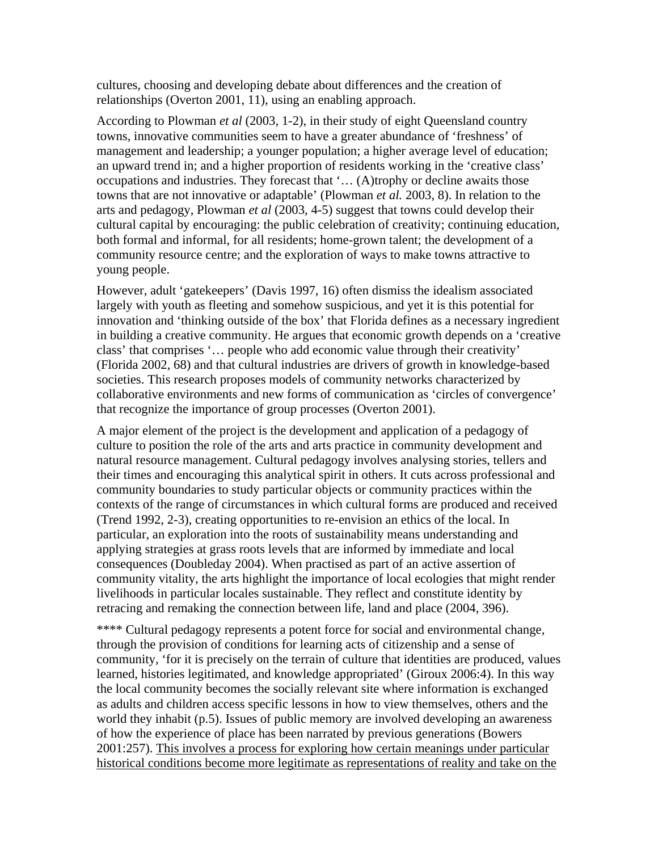cultures, choosing and developing debate about differences and the creation of relationships (Overton 2001, 11), using an enabling approach.

According to Plowman *et al* (2003, 1-2), in their study of eight Queensland country towns, innovative communities seem to have a greater abundance of 'freshness' of management and leadership; a younger population; a higher average level of education; an upward trend in; and a higher proportion of residents working in the 'creative class' occupations and industries. They forecast that '… (A)trophy or decline awaits those towns that are not innovative or adaptable' (Plowman *et al.* 2003, 8). In relation to the arts and pedagogy, Plowman *et al* (2003, 4-5) suggest that towns could develop their cultural capital by encouraging: the public celebration of creativity; continuing education, both formal and informal, for all residents; home-grown talent; the development of a community resource centre; and the exploration of ways to make towns attractive to young people.

However, adult 'gatekeepers' (Davis 1997, 16) often dismiss the idealism associated largely with youth as fleeting and somehow suspicious, and yet it is this potential for innovation and 'thinking outside of the box' that Florida defines as a necessary ingredient in building a creative community. He argues that economic growth depends on a 'creative class' that comprises '… people who add economic value through their creativity' (Florida 2002, 68) and that cultural industries are drivers of growth in knowledge-based societies. This research proposes models of community networks characterized by collaborative environments and new forms of communication as 'circles of convergence' that recognize the importance of group processes (Overton 2001).

A major element of the project is the development and application of a pedagogy of culture to position the role of the arts and arts practice in community development and natural resource management. Cultural pedagogy involves analysing stories, tellers and their times and encouraging this analytical spirit in others. It cuts across professional and community boundaries to study particular objects or community practices within the contexts of the range of circumstances in which cultural forms are produced and received (Trend 1992, 2-3), creating opportunities to re-envision an ethics of the local. In particular, an exploration into the roots of sustainability means understanding and applying strategies at grass roots levels that are informed by immediate and local consequences (Doubleday 2004). When practised as part of an active assertion of community vitality, the arts highlight the importance of local ecologies that might render livelihoods in particular locales sustainable. They reflect and constitute identity by retracing and remaking the connection between life, land and place (2004, 396).

\*\*\*\* Cultural pedagogy represents a potent force for social and environmental change, through the provision of conditions for learning acts of citizenship and a sense of community, 'for it is precisely on the terrain of culture that identities are produced, values learned, histories legitimated, and knowledge appropriated' (Giroux 2006:4). In this way the local community becomes the socially relevant site where information is exchanged as adults and children access specific lessons in how to view themselves, others and the world they inhabit (p.5). Issues of public memory are involved developing an awareness of how the experience of place has been narrated by previous generations (Bowers 2001:257). This involves a process for exploring how certain meanings under particular historical conditions become more legitimate as representations of reality and take on the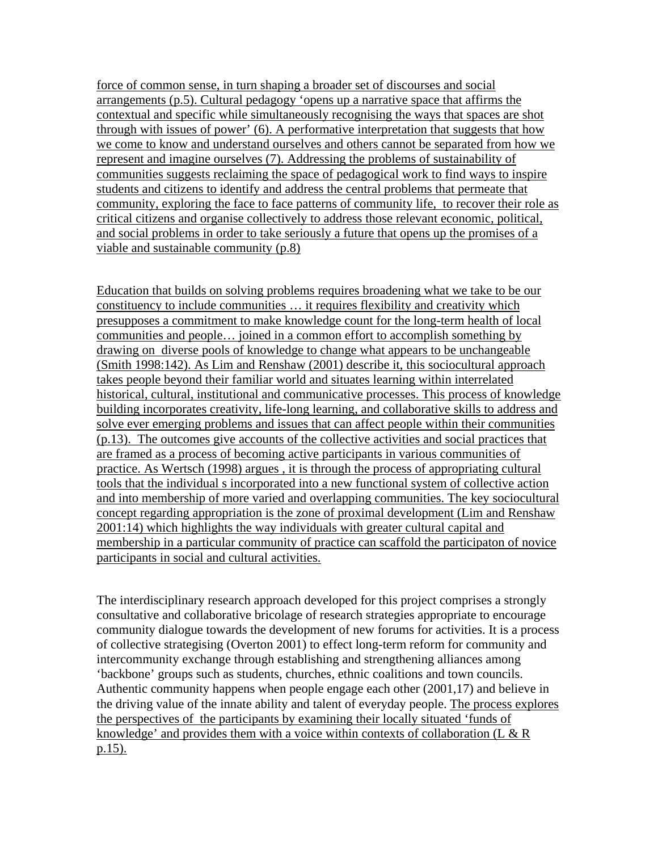force of common sense, in turn shaping a broader set of discourses and social arrangements (p.5). Cultural pedagogy 'opens up a narrative space that affirms the contextual and specific while simultaneously recognising the ways that spaces are shot through with issues of power' (6). A performative interpretation that suggests that how we come to know and understand ourselves and others cannot be separated from how we represent and imagine ourselves (7). Addressing the problems of sustainability of communities suggests reclaiming the space of pedagogical work to find ways to inspire students and citizens to identify and address the central problems that permeate that community, exploring the face to face patterns of community life, to recover their role as critical citizens and organise collectively to address those relevant economic, political, and social problems in order to take seriously a future that opens up the promises of a viable and sustainable community (p.8)

Education that builds on solving problems requires broadening what we take to be our constituency to include communities … it requires flexibility and creativity which presupposes a commitment to make knowledge count for the long-term health of local communities and people… joined in a common effort to accomplish something by drawing on diverse pools of knowledge to change what appears to be unchangeable (Smith 1998:142). As Lim and Renshaw (2001) describe it, this sociocultural approach takes people beyond their familiar world and situates learning within interrelated historical, cultural, institutional and communicative processes. This process of knowledge building incorporates creativity, life-long learning, and collaborative skills to address and solve ever emerging problems and issues that can affect people within their communities (p.13). The outcomes give accounts of the collective activities and social practices that are framed as a process of becoming active participants in various communities of practice. As Wertsch (1998) argues , it is through the process of appropriating cultural tools that the individual s incorporated into a new functional system of collective action and into membership of more varied and overlapping communities. The key sociocultural concept regarding appropriation is the zone of proximal development (Lim and Renshaw 2001:14) which highlights the way individuals with greater cultural capital and membership in a particular community of practice can scaffold the participaton of novice participants in social and cultural activities.

The interdisciplinary research approach developed for this project comprises a strongly consultative and collaborative bricolage of research strategies appropriate to encourage community dialogue towards the development of new forums for activities. It is a process of collective strategising (Overton 2001) to effect long-term reform for community and intercommunity exchange through establishing and strengthening alliances among 'backbone' groups such as students, churches, ethnic coalitions and town councils. Authentic community happens when people engage each other (2001,17) and believe in the driving value of the innate ability and talent of everyday people. The process explores the perspectives of the participants by examining their locally situated 'funds of knowledge' and provides them with a voice within contexts of collaboration (L  $\&$  R p.15).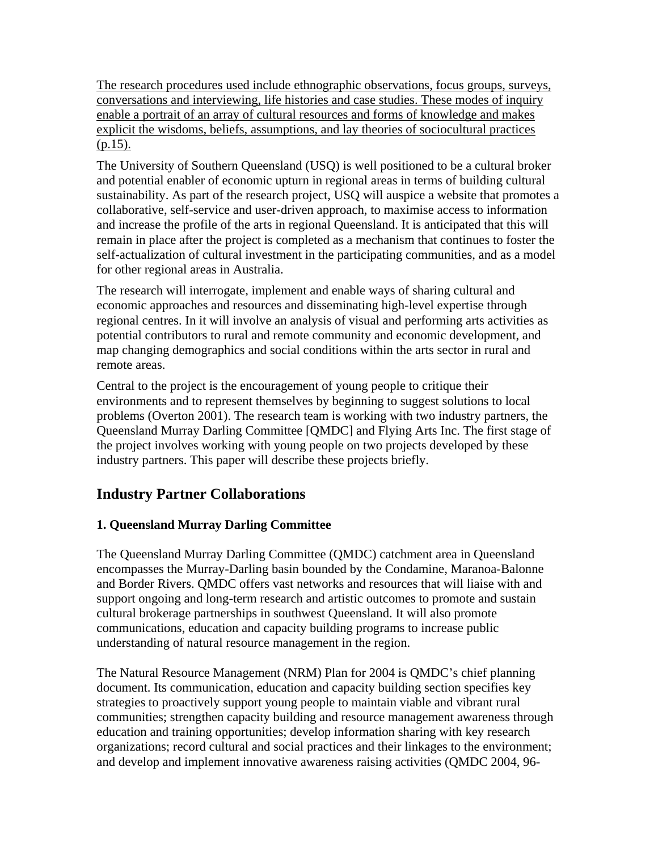The research procedures used include ethnographic observations, focus groups, surveys, conversations and interviewing, life histories and case studies. These modes of inquiry enable a portrait of an array of cultural resources and forms of knowledge and makes explicit the wisdoms, beliefs, assumptions, and lay theories of sociocultural practices  $(p.15)$ .

The University of Southern Queensland (USQ) is well positioned to be a cultural broker and potential enabler of economic upturn in regional areas in terms of building cultural sustainability. As part of the research project, USQ will auspice a website that promotes a collaborative, self-service and user-driven approach, to maximise access to information and increase the profile of the arts in regional Queensland. It is anticipated that this will remain in place after the project is completed as a mechanism that continues to foster the self-actualization of cultural investment in the participating communities, and as a model for other regional areas in Australia.

The research will interrogate, implement and enable ways of sharing cultural and economic approaches and resources and disseminating high-level expertise through regional centres. In it will involve an analysis of visual and performing arts activities as potential contributors to rural and remote community and economic development, and map changing demographics and social conditions within the arts sector in rural and remote areas.

Central to the project is the encouragement of young people to critique their environments and to represent themselves by beginning to suggest solutions to local problems (Overton 2001). The research team is working with two industry partners, the Queensland Murray Darling Committee [QMDC] and Flying Arts Inc. The first stage of the project involves working with young people on two projects developed by these industry partners. This paper will describe these projects briefly.

# **Industry Partner Collaborations**

## **1. Queensland Murray Darling Committee**

The Queensland Murray Darling Committee (QMDC) catchment area in Queensland encompasses the Murray-Darling basin bounded by the Condamine, Maranoa-Balonne and Border Rivers. QMDC offers vast networks and resources that will liaise with and support ongoing and long-term research and artistic outcomes to promote and sustain cultural brokerage partnerships in southwest Queensland. It will also promote communications, education and capacity building programs to increase public understanding of natural resource management in the region.

The Natural Resource Management (NRM) Plan for 2004 is QMDC's chief planning document. Its communication, education and capacity building section specifies key strategies to proactively support young people to maintain viable and vibrant rural communities; strengthen capacity building and resource management awareness through education and training opportunities; develop information sharing with key research organizations; record cultural and social practices and their linkages to the environment; and develop and implement innovative awareness raising activities (QMDC 2004, 96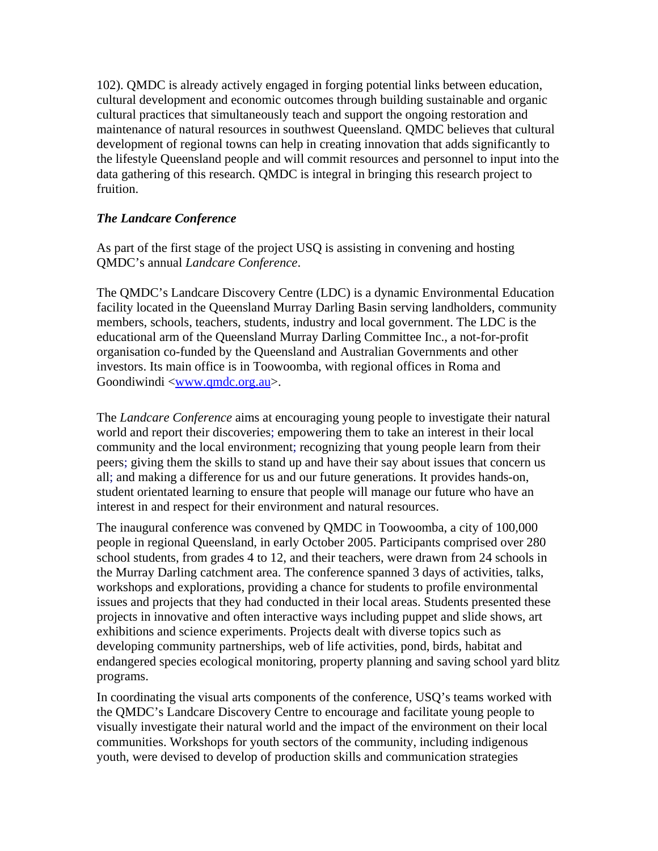102). QMDC is already actively engaged in forging potential links between education, cultural development and economic outcomes through building sustainable and organic cultural practices that simultaneously teach and support the ongoing restoration and maintenance of natural resources in southwest Queensland. QMDC believes that cultural development of regional towns can help in creating innovation that adds significantly to the lifestyle Queensland people and will commit resources and personnel to input into the data gathering of this research. QMDC is integral in bringing this research project to fruition.

### *The Landcare Conference*

As part of the first stage of the project USQ is assisting in convening and hosting QMDC's annual *Landcare Conference*.

The QMDC's Landcare Discovery Centre (LDC) is a dynamic Environmental Education facility located in the Queensland Murray Darling Basin serving landholders, community members, schools, teachers, students, industry and local government. The LDC is the educational arm of the Queensland Murray Darling Committee Inc., a not-for-profit organisation co-funded by the Queensland and Australian Governments and other investors. Its main office is in Toowoomba, with regional offices in Roma and Goondiwindi [<www.qmdc.org.au](http://www.qmdc.org.au)>.

The *Landcare Conference* aims at encouraging young people to investigate their natural world and report their discoveries; empowering them to take an interest in their local community and the local environment; recognizing that young people learn from their peers; giving them the skills to stand up and have their say about issues that concern us all; and making a difference for us and our future generations. It provides hands-on, student orientated learning to ensure that people will manage our future who have an interest in and respect for their environment and natural resources.

The inaugural conference was convened by QMDC in Toowoomba, a city of 100,000 people in regional Queensland, in early October 2005. Participants comprised over 280 school students, from grades 4 to 12, and their teachers, were drawn from 24 schools in the Murray Darling catchment area. The conference spanned 3 days of activities, talks, workshops and explorations, providing a chance for students to profile environmental issues and projects that they had conducted in their local areas. Students presented these projects in innovative and often interactive ways including puppet and slide shows, art exhibitions and science experiments. Projects dealt with diverse topics such as developing community partnerships, web of life activities, pond, birds, habitat and endangered species ecological monitoring, property planning and saving school yard blitz programs.

In coordinating the visual arts components of the conference, USQ's teams worked with the QMDC's Landcare Discovery Centre to encourage and facilitate young people to visually investigate their natural world and the impact of the environment on their local communities. Workshops for youth sectors of the community, including indigenous youth, were devised to develop of production skills and communication strategies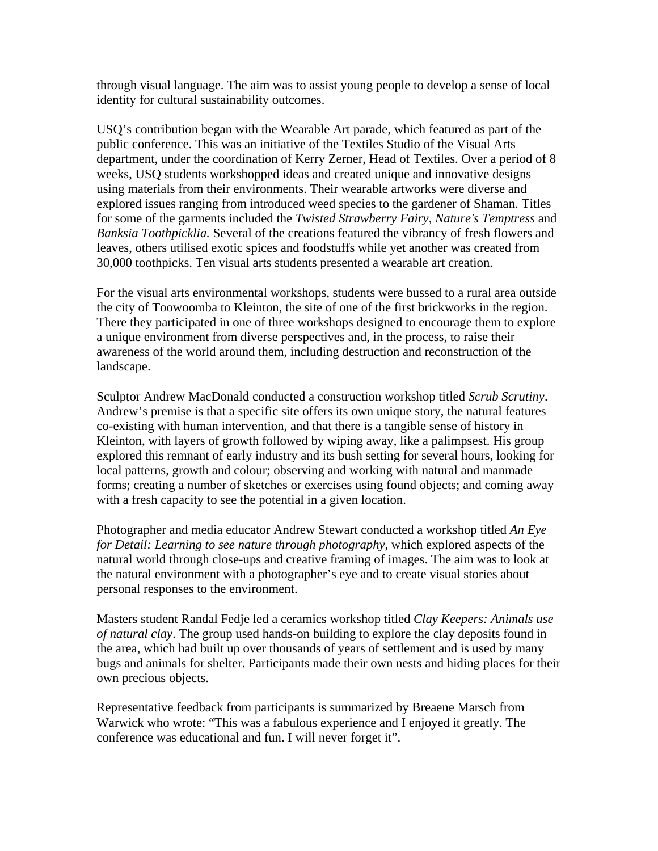through visual language. The aim was to assist young people to develop a sense of local identity for cultural sustainability outcomes.

USQ's contribution began with the Wearable Art parade, which featured as part of the public conference. This was an initiative of the Textiles Studio of the Visual Arts department, under the coordination of Kerry Zerner, Head of Textiles. Over a period of 8 weeks, USQ students workshopped ideas and created unique and innovative designs using materials from their environments. Their wearable artworks were diverse and explored issues ranging from introduced weed species to the gardener of Shaman. Titles for some of the garments included the *Twisted Strawberry Fairy, Nature's Temptress* and *Banksia Toothpicklia.* Several of the creations featured the vibrancy of fresh flowers and leaves, others utilised exotic spices and foodstuffs while yet another was created from 30,000 toothpicks. Ten visual arts students presented a wearable art creation.

For the visual arts environmental workshops, students were bussed to a rural area outside the city of Toowoomba to Kleinton, the site of one of the first brickworks in the region. There they participated in one of three workshops designed to encourage them to explore a unique environment from diverse perspectives and, in the process, to raise their awareness of the world around them, including destruction and reconstruction of the landscape.

Sculptor Andrew MacDonald conducted a construction workshop titled *Scrub Scrutiny*. Andrew's premise is that a specific site offers its own unique story, the natural features co-existing with human intervention, and that there is a tangible sense of history in Kleinton, with layers of growth followed by wiping away, like a palimpsest. His group explored this remnant of early industry and its bush setting for several hours, looking for local patterns, growth and colour; observing and working with natural and manmade forms; creating a number of sketches or exercises using found objects; and coming away with a fresh capacity to see the potential in a given location.

Photographer and media educator Andrew Stewart conducted a workshop titled *An Eye for Detail: Learning to see nature through photography*, which explored aspects of the natural world through close-ups and creative framing of images. The aim was to look at the natural environment with a photographer's eye and to create visual stories about personal responses to the environment.

Masters student Randal Fedje led a ceramics workshop titled *Clay Keepers: Animals use of natural clay*. The group used hands-on building to explore the clay deposits found in the area, which had built up over thousands of years of settlement and is used by many bugs and animals for shelter. Participants made their own nests and hiding places for their own precious objects.

Representative feedback from participants is summarized by Breaene Marsch from Warwick who wrote: "This was a fabulous experience and I enjoyed it greatly. The conference was educational and fun. I will never forget it".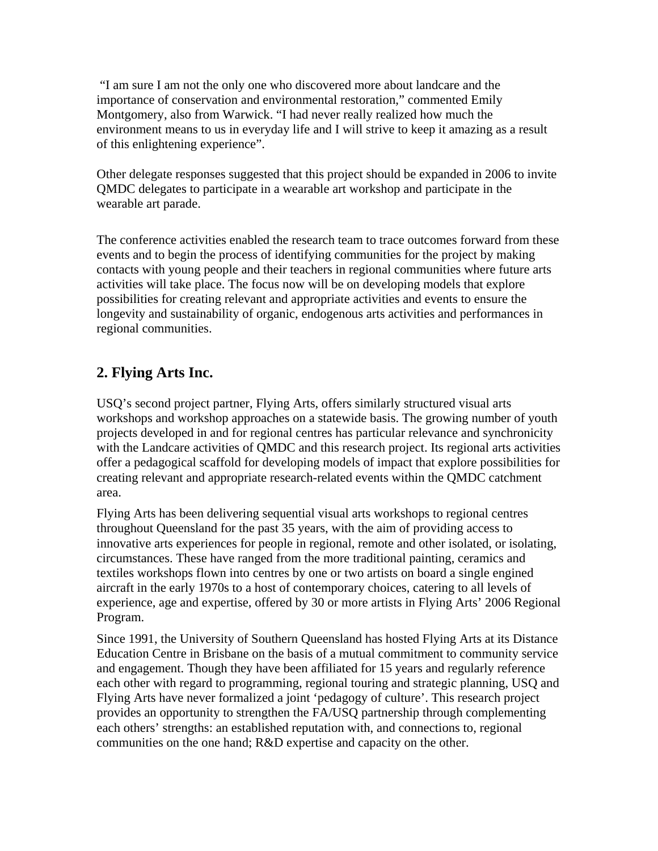"I am sure I am not the only one who discovered more about landcare and the importance of conservation and environmental restoration," commented Emily Montgomery, also from Warwick. "I had never really realized how much the environment means to us in everyday life and I will strive to keep it amazing as a result of this enlightening experience".

Other delegate responses suggested that this project should be expanded in 2006 to invite QMDC delegates to participate in a wearable art workshop and participate in the wearable art parade.

The conference activities enabled the research team to trace outcomes forward from these events and to begin the process of identifying communities for the project by making contacts with young people and their teachers in regional communities where future arts activities will take place. The focus now will be on developing models that explore possibilities for creating relevant and appropriate activities and events to ensure the longevity and sustainability of organic, endogenous arts activities and performances in regional communities.

# **2. Flying Arts Inc.**

USQ's second project partner, Flying Arts, offers similarly structured visual arts workshops and workshop approaches on a statewide basis. The growing number of youth projects developed in and for regional centres has particular relevance and synchronicity with the Landcare activities of QMDC and this research project. Its regional arts activities offer a pedagogical scaffold for developing models of impact that explore possibilities for creating relevant and appropriate research-related events within the QMDC catchment area.

Flying Arts has been delivering sequential visual arts workshops to regional centres throughout Queensland for the past 35 years, with the aim of providing access to innovative arts experiences for people in regional, remote and other isolated, or isolating, circumstances. These have ranged from the more traditional painting, ceramics and textiles workshops flown into centres by one or two artists on board a single engined aircraft in the early 1970s to a host of contemporary choices, catering to all levels of experience, age and expertise, offered by 30 or more artists in Flying Arts' 2006 Regional Program.

Since 1991, the University of Southern Queensland has hosted Flying Arts at its Distance Education Centre in Brisbane on the basis of a mutual commitment to community service and engagement. Though they have been affiliated for 15 years and regularly reference each other with regard to programming, regional touring and strategic planning, USQ and Flying Arts have never formalized a joint 'pedagogy of culture'. This research project provides an opportunity to strengthen the FA/USQ partnership through complementing each others' strengths: an established reputation with, and connections to, regional communities on the one hand; R&D expertise and capacity on the other.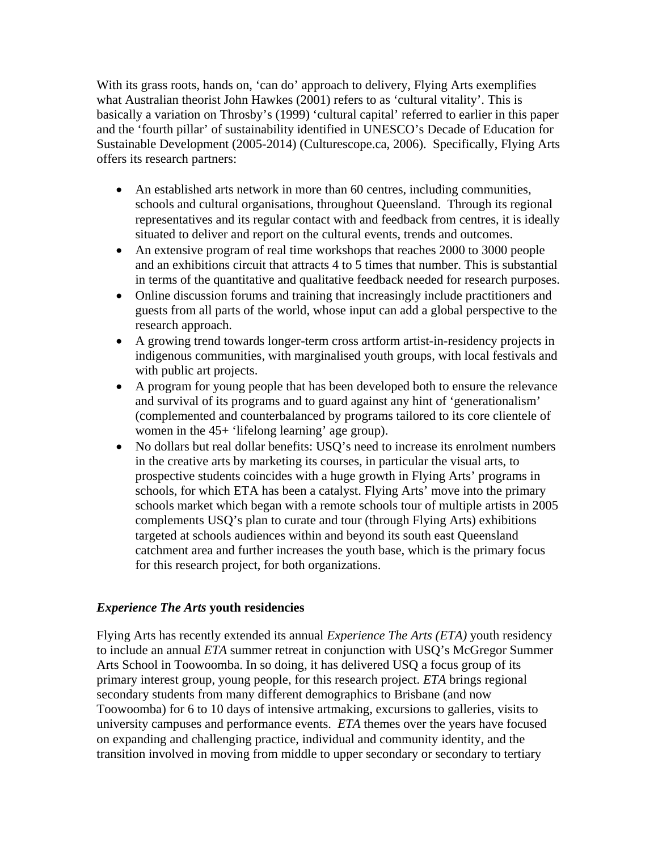With its grass roots, hands on, 'can do' approach to delivery, Flying Arts exemplifies what Australian theorist John Hawkes (2001) refers to as 'cultural vitality'. This is basically a variation on Throsby's (1999) 'cultural capital' referred to earlier in this paper and the 'fourth pillar' of sustainability identified in UNESCO's Decade of Education for Sustainable Development (2005-2014) (Culturescope.ca, 2006). Specifically, Flying Arts offers its research partners:

- An established arts network in more than 60 centres, including communities, schools and cultural organisations, throughout Queensland. Through its regional representatives and its regular contact with and feedback from centres, it is ideally situated to deliver and report on the cultural events, trends and outcomes.
- An extensive program of real time workshops that reaches 2000 to 3000 people and an exhibitions circuit that attracts 4 to 5 times that number. This is substantial in terms of the quantitative and qualitative feedback needed for research purposes.
- Online discussion forums and training that increasingly include practitioners and guests from all parts of the world, whose input can add a global perspective to the research approach.
- A growing trend towards longer-term cross artform artist-in-residency projects in indigenous communities, with marginalised youth groups, with local festivals and with public art projects.
- A program for young people that has been developed both to ensure the relevance and survival of its programs and to guard against any hint of 'generationalism' (complemented and counterbalanced by programs tailored to its core clientele of women in the 45+ 'lifelong learning' age group).
- No dollars but real dollar benefits: USQ's need to increase its enrolment numbers in the creative arts by marketing its courses, in particular the visual arts, to prospective students coincides with a huge growth in Flying Arts' programs in schools, for which ETA has been a catalyst. Flying Arts' move into the primary schools market which began with a remote schools tour of multiple artists in 2005 complements USQ's plan to curate and tour (through Flying Arts) exhibitions targeted at schools audiences within and beyond its south east Queensland catchment area and further increases the youth base, which is the primary focus for this research project, for both organizations.

### *Experience The Arts* **youth residencies**

Flying Arts has recently extended its annual *Experience The Arts (ETA)* youth residency to include an annual *ETA* summer retreat in conjunction with USQ's McGregor Summer Arts School in Toowoomba. In so doing, it has delivered USQ a focus group of its primary interest group, young people, for this research project. *ETA* brings regional secondary students from many different demographics to Brisbane (and now Toowoomba) for 6 to 10 days of intensive artmaking, excursions to galleries, visits to university campuses and performance events. *ETA* themes over the years have focused on expanding and challenging practice, individual and community identity, and the transition involved in moving from middle to upper secondary or secondary to tertiary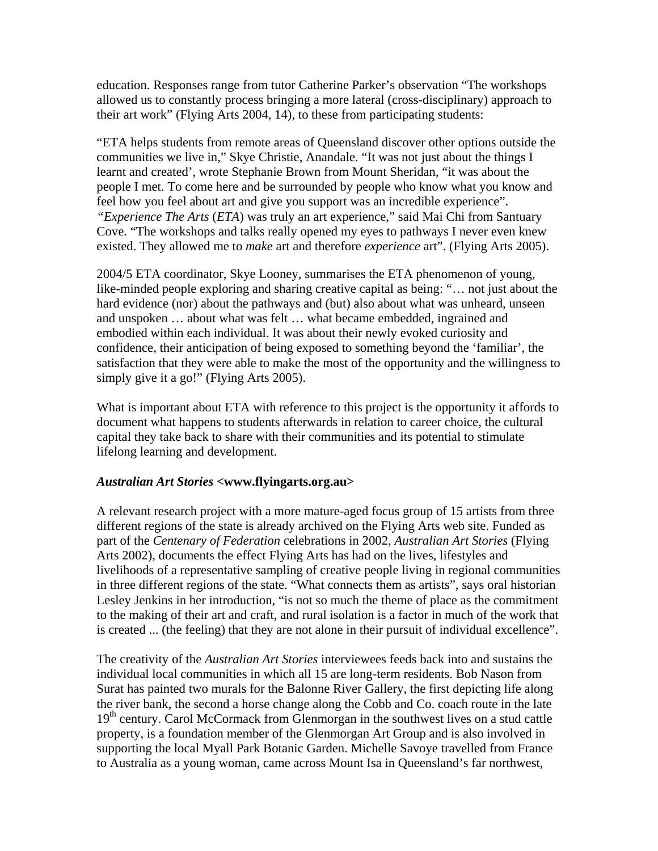education. Responses range from tutor Catherine Parker's observation "The workshops allowed us to constantly process bringing a more lateral (cross-disciplinary) approach to their art work" (Flying Arts 2004, 14), to these from participating students:

"ETA helps students from remote areas of Queensland discover other options outside the communities we live in," Skye Christie, Anandale. "It was not just about the things I learnt and created', wrote Stephanie Brown from Mount Sheridan, "it was about the people I met. To come here and be surrounded by people who know what you know and feel how you feel about art and give you support was an incredible experience". *"Experience The Arts* (*ETA*) was truly an art experience," said Mai Chi from Santuary Cove. "The workshops and talks really opened my eyes to pathways I never even knew existed. They allowed me to *make* art and therefore *experience* art". (Flying Arts 2005).

2004/5 ETA coordinator, Skye Looney, summarises the ETA phenomenon of young, like-minded people exploring and sharing creative capital as being: "… not just about the hard evidence (nor) about the pathways and (but) also about what was unheard, unseen and unspoken … about what was felt … what became embedded, ingrained and embodied within each individual. It was about their newly evoked curiosity and confidence, their anticipation of being exposed to something beyond the 'familiar', the satisfaction that they were able to make the most of the opportunity and the willingness to simply give it a go!" (Flying Arts 2005).

What is important about ETA with reference to this project is the opportunity it affords to document what happens to students afterwards in relation to career choice, the cultural capital they take back to share with their communities and its potential to stimulate lifelong learning and development.

#### *Australian Art Stories* **<www.flyingarts.org.au>**

A relevant research project with a more mature-aged focus group of 15 artists from three different regions of the state is already archived on the Flying Arts web site. Funded as part of the *Centenary of Federation* celebrations in 2002, *Australian Art Stories* (Flying Arts 2002), documents the effect Flying Arts has had on the lives, lifestyles and livelihoods of a representative sampling of creative people living in regional communities in three different regions of the state. "What connects them as artists", says oral historian Lesley Jenkins in her introduction, "is not so much the theme of place as the commitment to the making of their art and craft, and rural isolation is a factor in much of the work that is created ... (the feeling) that they are not alone in their pursuit of individual excellence".

The creativity of the *Australian Art Stories* interviewees feeds back into and sustains the individual local communities in which all 15 are long-term residents. Bob Nason from Surat has painted two murals for the Balonne River Gallery, the first depicting life along the river bank, the second a horse change along the Cobb and Co. coach route in the late 19<sup>th</sup> century. Carol McCormack from Glenmorgan in the southwest lives on a stud cattle property, is a foundation member of the Glenmorgan Art Group and is also involved in supporting the local Myall Park Botanic Garden. Michelle Savoye travelled from France to Australia as a young woman, came across Mount Isa in Queensland's far northwest,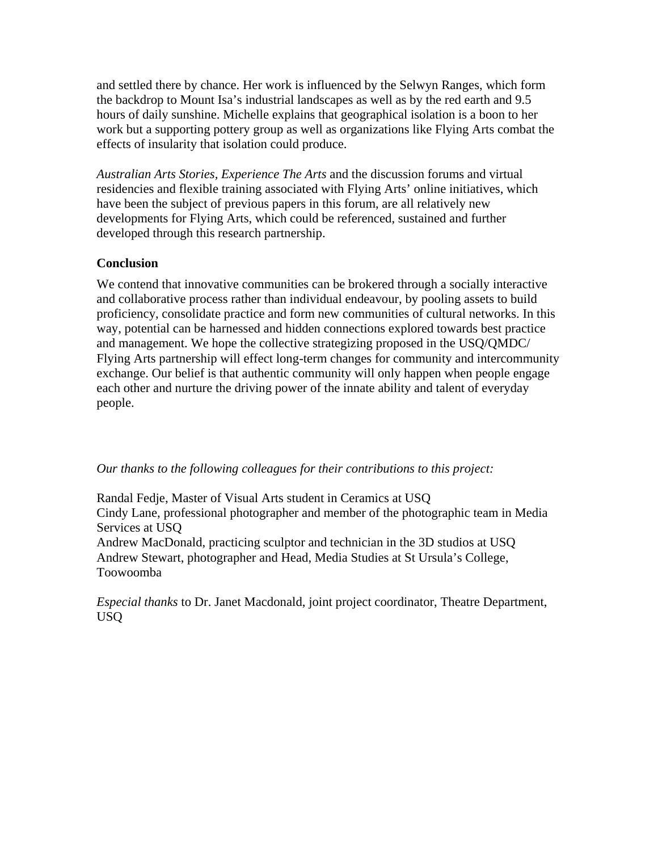and settled there by chance. Her work is influenced by the Selwyn Ranges, which form the backdrop to Mount Isa's industrial landscapes as well as by the red earth and 9.5 hours of daily sunshine. Michelle explains that geographical isolation is a boon to her work but a supporting pottery group as well as organizations like Flying Arts combat the effects of insularity that isolation could produce.

*Australian Arts Stories, Experience The Arts* and the discussion forums and virtual residencies and flexible training associated with Flying Arts' online initiatives, which have been the subject of previous papers in this forum, are all relatively new developments for Flying Arts, which could be referenced, sustained and further developed through this research partnership.

### **Conclusion**

We contend that innovative communities can be brokered through a socially interactive and collaborative process rather than individual endeavour, by pooling assets to build proficiency, consolidate practice and form new communities of cultural networks. In this way, potential can be harnessed and hidden connections explored towards best practice and management. We hope the collective strategizing proposed in the USQ/QMDC/ Flying Arts partnership will effect long-term changes for community and intercommunity exchange. Our belief is that authentic community will only happen when people engage each other and nurture the driving power of the innate ability and talent of everyday people.

#### *Our thanks to the following colleagues for their contributions to this project:*

Randal Fedje, Master of Visual Arts student in Ceramics at USQ Cindy Lane, professional photographer and member of the photographic team in Media Services at USQ

Andrew MacDonald, practicing sculptor and technician in the 3D studios at USQ Andrew Stewart, photographer and Head, Media Studies at St Ursula's College, Toowoomba

*Especial thanks* to Dr. Janet Macdonald, joint project coordinator, Theatre Department, USQ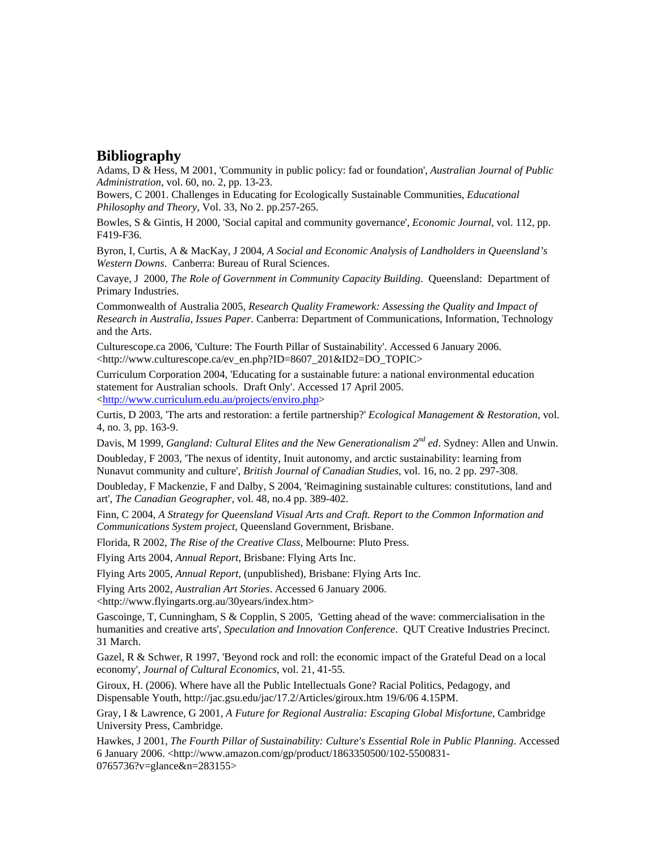### **Bibliography**

Adams, D & Hess, M 2001, 'Community in public policy: fad or foundation', *Australian Journal of Public Administration*, vol. 60, no. 2, pp. 13-23.

Bowers, C 2001. Challenges in Educating for Ecologically Sustainable Communities, *Educational Philosophy and Theory*, Vol. 33, No 2. pp.257-265.

Bowles, S & Gintis, H 2000, 'Social capital and community governance', *Economic Journal*, vol. 112, pp. F419-F36.

Byron, I, Curtis, A & MacKay, J 2004, *A Social and Economic Analysis of Landholders in Queensland's Western Downs*. Canberra: Bureau of Rural Sciences.

Cavaye, J 2000, *The Role of Government in Community Capacity Building*. Queensland: Department of Primary Industries.

Commonwealth of Australia 2005, *Research Quality Framework: Assessing the Quality and Impact of Research in Australia, Issues Paper*. Canberra: Department of Communications, Information, Technology and the Arts.

Culturescope.ca 2006, 'Culture: The Fourth Pillar of Sustainability'. Accessed 6 January 2006. <http://www.culturescope.ca/ev\_en.php?ID=8607\_201&ID2=DO\_TOPIC>

Curriculum Corporation 2004, 'Educating for a sustainable future: a national environmental education statement for Australian schools. Draft Only'. Accessed 17 April 2005. <[http://www.curriculum.edu.au/projects/enviro.php>](http://www.curriculum.edu.au/projects/enviro.php)

Curtis, D 2003, 'The arts and restoration: a fertile partnership?' *Ecological Management & Restoration*, vol. 4, no. 3, pp. 163-9.

Davis, M 1999, *Gangland: Cultural Elites and the New Generationalism 2nd ed*. Sydney: Allen and Unwin.

Doubleday, F 2003, 'The nexus of identity, Inuit autonomy, and arctic sustainability: learning from Nunavut community and culture', *British Journal of Canadian Studies*, vol. 16, no. 2 pp. 297-308.

Doubleday, F Mackenzie, F and Dalby, S 2004, 'Reimagining sustainable cultures: constitutions, land and art', *The Canadian Geographer,* vol. 48, no.4 pp. 389-402.

Finn, C 2004, *A Strategy for Queensland Visual Arts and Craft. Report to the Common Information and Communications System project*, Queensland Government, Brisbane.

Florida, R 2002, *The Rise of the Creative Class*, Melbourne: Pluto Press.

Flying Arts 2004, *Annual Report*, Brisbane: Flying Arts Inc.

Flying Arts 2005, *Annual Report,* (unpublished), Brisbane: Flying Arts Inc.

Flying Arts 2002, *Australian Art Stories*. Accessed 6 January 2006.

<http://www.flyingarts.org.au/30years/index.htm>

Gascoinge, T, Cunningham, S & Copplin, S 2005, 'Getting ahead of the wave: commercialisation in the humanities and creative arts', *Speculation and Innovation Conference*. QUT Creative Industries Precinct. 31 March.

Gazel, R & Schwer, R 1997, 'Beyond rock and roll: the economic impact of the Grateful Dead on a local economy', *Journal of Cultural Economics*, vol. 21, 41-55.

Giroux, H. (2006). Where have all the Public Intellectuals Gone? Racial Politics, Pedagogy, and Dispensable Youth, http://jac.gsu.edu/jac/17.2/Articles/giroux.htm 19/6/06 4.15PM.

Gray, I & Lawrence, G 2001, *A Future for Regional Australia: Escaping Global Misfortune*, Cambridge University Press, Cambridge.

Hawkes, J 2001, *The Fourth Pillar of Sustainability: Culture's Essential Role in Public Planning*. Accessed 6 January 2006. <http://www.amazon.com/gp/product/1863350500/102-5500831- 0765736?v=glance&n=283155>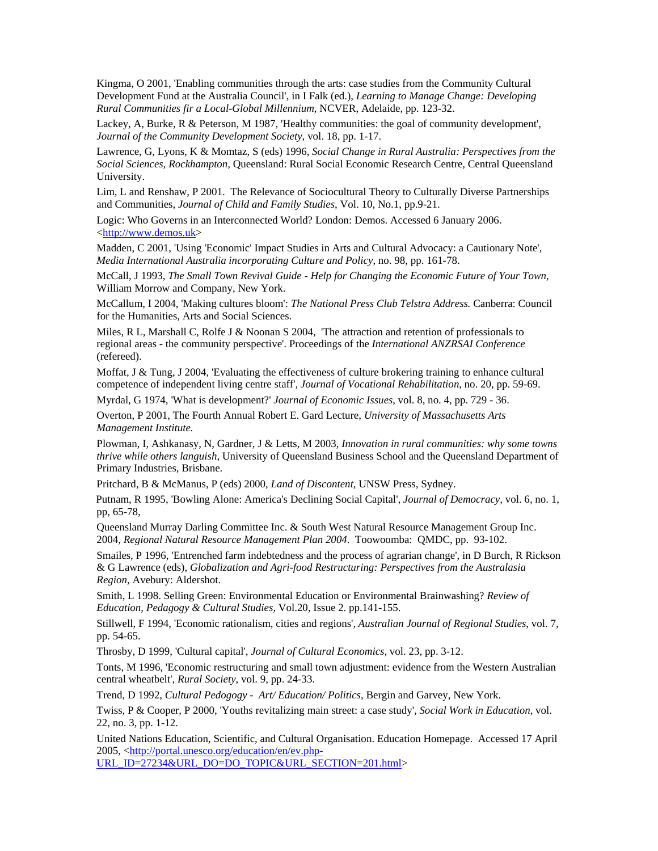Kingma, O 2001, 'Enabling communities through the arts: case studies from the Community Cultural Development Fund at the Australia Council', in I Falk (ed.), *Learning to Manage Change: Developing Rural Communities fir a Local-Global Millennium*, NCVER, Adelaide, pp. 123-32.

Lackey, A, Burke, R & Peterson, M 1987, 'Healthy communities: the goal of community development', *Journal of the Community Development Society*, vol. 18, pp. 1-17.

Lawrence, G, Lyons, K & Momtaz, S (eds) 1996, *Social Change in Rural Australia: Perspectives from the Social Sciences, Rockhampton,* Queensland: Rural Social Economic Research Centre, Central Queensland University.

Lim, L and Renshaw, P 2001. The Relevance of Sociocultural Theory to Culturally Diverse Partnerships and Communities, *Journal of Child and Family Studies*, Vol. 10, No.1, pp.9-21.

Logic: Who Governs in an Interconnected World? London: Demos. Accessed 6 January 2006. <<http://www.demos.uk>>

Madden, C 2001, 'Using 'Economic' Impact Studies in Arts and Cultural Advocacy: a Cautionary Note', *Media International Australia incorporating Culture and Policy*, no. 98, pp. 161-78.

McCall, J 1993, *The Small Town Revival Guide - Help for Changing the Economic Future of Your Town*, William Morrow and Company, New York.

McCallum, I 2004, 'Making cultures bloom': *The National Press Club Telstra Address.* Canberra: Council for the Humanities, Arts and Social Sciences.

Miles, R L, Marshall C, Rolfe J & Noonan S 2004, 'The attraction and retention of professionals to regional areas - the community perspective'. Proceedings of the *International ANZRSAI Conference* (refereed).

Moffat, J & Tung, J 2004, 'Evaluating the effectiveness of culture brokering training to enhance cultural competence of independent living centre staff', *Journal of Vocational Rehabilitation*, no. 20, pp. 59-69.

Myrdal, G 1974, 'What is development?' *Journal of Economic Issues*, vol. 8, no. 4, pp. 729 - 36.

Overton, P 2001, The Fourth Annual Robert E. Gard Lecture, *University of Massachusetts Arts Management Institute.* 

Plowman, I, Ashkanasy, N, Gardner, J & Letts, M 2003, *Innovation in rural communities: why some towns thrive while others languish*, University of Queensland Business School and the Queensland Department of Primary Industries, Brisbane.

Pritchard, B & McManus, P (eds) 2000, *Land of Discontent*, UNSW Press, Sydney.

Putnam, R 1995, 'Bowling Alone: America's Declining Social Capital', *Journal of Democracy*, vol. 6, no. 1, pp, 65-78,

Queensland Murray Darling Committee Inc. & South West Natural Resource Management Group Inc. 2004, *Regional Natural Resource Management Plan 2004*. Toowoomba: QMDC, pp. 93-102.

Smailes, P 1996, 'Entrenched farm indebtedness and the process of agrarian change', in D Burch, R Rickson & G Lawrence (eds), *Globalization and Agri-food Restructuring: Perspectives from the Australasia Region*, Avebury: Aldershot.

Smith, L 1998. Selling Green: Environmental Education or Environmental Brainwashing? *Review of Education, Pedagogy & Cultural Studies,* Vol.20, Issue 2. pp.141-155.

Stillwell, F 1994, 'Economic rationalism, cities and regions', *Australian Journal of Regional Studies*, vol. 7, pp. 54-65.

Throsby, D 1999, 'Cultural capital', *Journal of Cultural Economics*, vol. 23, pp. 3-12.

Tonts, M 1996, 'Economic restructuring and small town adjustment: evidence from the Western Australian central wheatbelt', *Rural Society*, vol. 9, pp. 24-33.

Trend, D 1992, *Cultural Pedogogy - Art/ Education/ Politics*, Bergin and Garvey, New York.

Twiss, P & Cooper, P 2000, 'Youths revitalizing main street: a case study', *Social Work in Education*, vol. 22, no. 3, pp. 1-12.

United Nations Education, Scientific, and Cultural Organisation. Education Homepage. Accessed 17 April 2005, <[http://portal.unesco.org/education/en/ev.php-](http://portal.unesco.org/education/en/ev.php-URL_ID=27234&URL_DO=DO_TOPIC&URL_SECTION=201.html)

[URL\\_ID=27234&URL\\_DO=DO\\_TOPIC&URL\\_SECTION=201.html>](http://portal.unesco.org/education/en/ev.php-URL_ID=27234&URL_DO=DO_TOPIC&URL_SECTION=201.html)